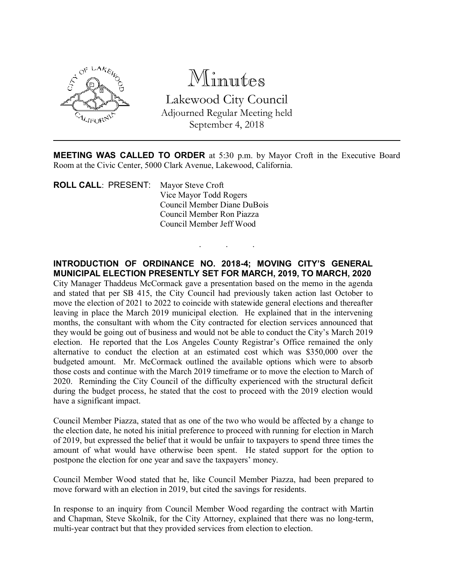

Minutes Lakewood City Council Adjourned Regular Meeting held September 4, 2018

MEETING WAS CALLED TO ORDER at 5:30 p.m. by Mayor Croft in the Executive Board Room at the Civic Center, 5000 Clark Avenue, Lakewood, California.

. . .

ROLL CALL: PRESENT: Mayor Steve Croft Vice Mayor Todd Rogers Council Member Diane DuBois Council Member Ron Piazza Council Member Jeff Wood

## INTRODUCTION OF ORDINANCE NO. 2018-4; MOVING CITY'S GENERAL MUNICIPAL ELECTION PRESENTLY SET FOR MARCH, 2019, TO MARCH, 2020

City Manager Thaddeus McCormack gave a presentation based on the memo in the agenda and stated that per SB 415, the City Council had previously taken action last October to move the election of 2021 to 2022 to coincide with statewide general elections and thereafter leaving in place the March 2019 municipal election. He explained that in the intervening months, the consultant with whom the City contracted for election services announced that they would be going out of business and would not be able to conduct the City's March 2019 election. He reported that the Los Angeles County Registrar's Office remained the only alternative to conduct the election at an estimated cost which was \$350,000 over the budgeted amount. Mr. McCormack outlined the available options which were to absorb those costs and continue with the March 2019 timeframe or to move the election to March of 2020. Reminding the City Council of the difficulty experienced with the structural deficit during the budget process, he stated that the cost to proceed with the 2019 election would have a significant impact.

Council Member Piazza, stated that as one of the two who would be affected by a change to the election date, he noted his initial preference to proceed with running for election in March of 2019, but expressed the belief that it would be unfair to taxpayers to spend three times the amount of what would have otherwise been spent. He stated support for the option to postpone the election for one year and save the taxpayers' money.

Council Member Wood stated that he, like Council Member Piazza, had been prepared to move forward with an election in 2019, but cited the savings for residents.

In response to an inquiry from Council Member Wood regarding the contract with Martin and Chapman, Steve Skolnik, for the City Attorney, explained that there was no long-term, multi-year contract but that they provided services from election to election.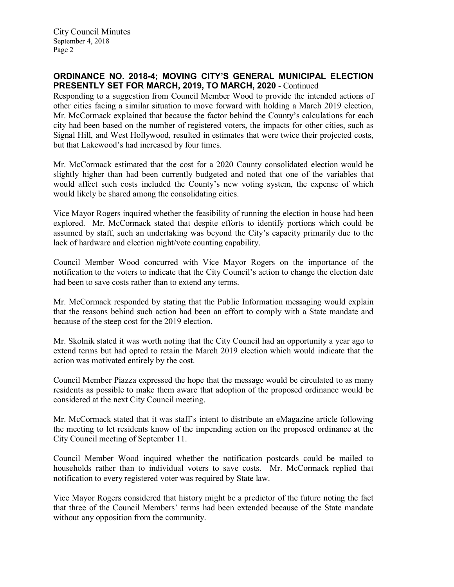City Council Minutes September 4, 2018 Page 2

## ORDINANCE NO. 2018-4; MOVING CITY'S GENERAL MUNICIPAL ELECTION PRESENTLY SET FOR MARCH, 2019, TO MARCH, 2020 - Continued

Responding to a suggestion from Council Member Wood to provide the intended actions of other cities facing a similar situation to move forward with holding a March 2019 election, Mr. McCormack explained that because the factor behind the County's calculations for each city had been based on the number of registered voters, the impacts for other cities, such as Signal Hill, and West Hollywood, resulted in estimates that were twice their projected costs, but that Lakewood's had increased by four times.

Mr. McCormack estimated that the cost for a 2020 County consolidated election would be slightly higher than had been currently budgeted and noted that one of the variables that would affect such costs included the County's new voting system, the expense of which would likely be shared among the consolidating cities.

Vice Mayor Rogers inquired whether the feasibility of running the election in house had been explored. Mr. McCormack stated that despite efforts to identify portions which could be assumed by staff, such an undertaking was beyond the City's capacity primarily due to the lack of hardware and election night/vote counting capability.

Council Member Wood concurred with Vice Mayor Rogers on the importance of the notification to the voters to indicate that the City Council's action to change the election date had been to save costs rather than to extend any terms.

Mr. McCormack responded by stating that the Public Information messaging would explain that the reasons behind such action had been an effort to comply with a State mandate and because of the steep cost for the 2019 election.

Mr. Skolnik stated it was worth noting that the City Council had an opportunity a year ago to extend terms but had opted to retain the March 2019 election which would indicate that the action was motivated entirely by the cost.

Council Member Piazza expressed the hope that the message would be circulated to as many residents as possible to make them aware that adoption of the proposed ordinance would be considered at the next City Council meeting.

Mr. McCormack stated that it was staff's intent to distribute an eMagazine article following the meeting to let residents know of the impending action on the proposed ordinance at the City Council meeting of September 11.

Council Member Wood inquired whether the notification postcards could be mailed to households rather than to individual voters to save costs. Mr. McCormack replied that notification to every registered voter was required by State law.

Vice Mayor Rogers considered that history might be a predictor of the future noting the fact that three of the Council Members' terms had been extended because of the State mandate without any opposition from the community.